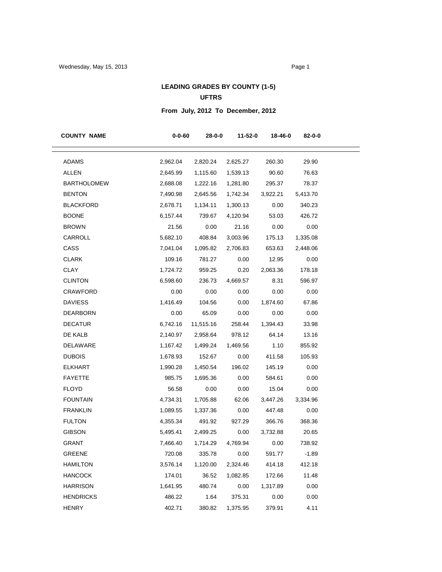## **LEADING GRADES BY COUNTY (1-5) UFTRS**

# **From July, 2012 To December, 2012**

| <b>COUNTY NAME</b> | $0 - 0 - 60$ | 28-0-0    | 11-52-0     | 18-46-0  | 82-0-0   |
|--------------------|--------------|-----------|-------------|----------|----------|
| <b>ADAMS</b>       | 2,962.04     | 2,820.24  | 2,625.27    | 260.30   | 29.90    |
| <b>ALLEN</b>       | 2,645.99     | 1,115.60  | 1,539.13    | 90.60    | 76.63    |
| <b>BARTHOLOMEW</b> | 2,688.08     | 1,222.16  | 1,281.80    | 295.37   | 78.37    |
| <b>BENTON</b>      | 7,490.98     | 2,645.56  | 1,742.34    | 3,922.21 | 5,413.70 |
| BLACKFORD          | 2,678.71     | 1,134.11  | 1,300.13    | 0.00     | 340.23   |
| <b>BOONE</b>       | 6,157.44     | 739.67    | 4,120.94    | 53.03    | 426.72   |
| BROWN              | 21.56        | 0.00      | 21.16       | 0.00     | 0.00     |
| CARROLL            | 5,682.10     | 408.84    | 3,003.96    | 175.13   | 1,335.08 |
| CASS               | 7,041.04     | 1,095.82  | 2,706.83    | 653.63   | 2,448.06 |
| <b>CLARK</b>       | 109.16       | 781.27    | 0.00        | 12.95    | 0.00     |
| CLAY               | 1,724.72     | 959.25    | 0.20        | 2,063.36 | 178.18   |
| <b>CLINTON</b>     | 6,598.60     | 236.73    | 4,669.57    | 8.31     | 596.97   |
| CRAWFORD           | 0.00         | 0.00      | 0.00        | 0.00     | 0.00     |
| <b>DAVIESS</b>     | 1,416.49     | 104.56    | 0.00        | 1,874.60 | 67.86    |
| <b>DEARBORN</b>    | 0.00         | 65.09     | 0.00        | 0.00     | 0.00     |
| <b>DECATUR</b>     | 6,742.16     | 11,515.16 | 258.44      | 1,394.43 | 33.98    |
| DE KALB            | 2,140.97     | 2,958.64  | 978.12      | 64.14    | 13.16    |
| DELAWARE           | 1,167.42     | 1,499.24  | 1,469.56    | 1.10     | 855.92   |
| <b>DUBOIS</b>      | 1,678.93     | 152.67    | 0.00        | 411.58   | 105.93   |
| <b>ELKHART</b>     | 1,990.28     | 1,450.54  | 196.02      | 145.19   | 0.00     |
| <b>FAYETTE</b>     | 985.75       | 1,695.36  | 0.00        | 584.61   | 0.00     |
| <b>FLOYD</b>       | 56.58        | 0.00      | 0.00        | 15.04    | 0.00     |
| <b>FOUNTAIN</b>    | 4,734.31     | 1,705.88  | 62.06       | 3,447.26 | 3,334.96 |
| <b>FRANKLIN</b>    | 1,089.55     | 1,337.36  | 0.00        | 447.48   | 0.00     |
| <b>FULTON</b>      | 4,355.34     | 491.92    | 927.29      | 366.76   | 368.36   |
| <b>GIBSON</b>      | 5,495.41     | 2,499.25  | 0.00        | 3,732.88 | 20.65    |
| <b>GRANT</b>       | 7,466.40     | 1,714.29  | 4,769.94    | 0.00     | 738.92   |
| <b>GREENE</b>      | 720.08       |           | 335.78 0.00 | 591.77   | $-1.89$  |
| <b>HAMILTON</b>    | 3,576.14     | 1,120.00  | 2,324.46    | 414.18   | 412.18   |
| <b>HANCOCK</b>     | 174.01       | 36.52     | 1,082.85    | 172.66   | 11.48    |
| <b>HARRISON</b>    | 1,641.95     | 480.74    | 0.00        | 1,317.89 | 0.00     |
| <b>HENDRICKS</b>   | 486.22       | 1.64      | 375.31      | 0.00     | 0.00     |
| <b>HENRY</b>       | 402.71       | 380.82    | 1,375.95    | 379.91   | 4.11     |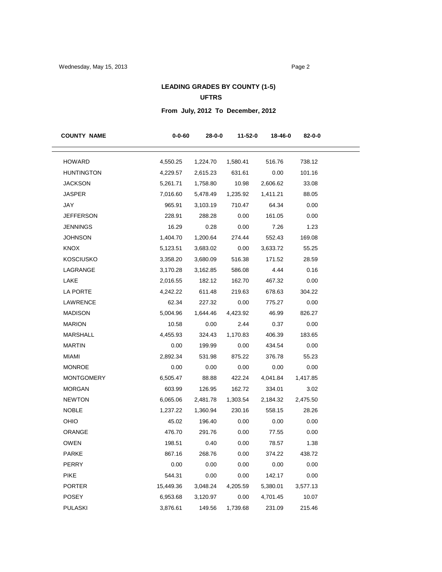## **LEADING GRADES BY COUNTY (1-5) UFTRS**

# **From July, 2012 To December, 2012**

| <b>COUNTY NAME</b> | $0 - 0 - 60$ | 28-0-0   | 11-52-0  | 18-46-0  | 82-0-0   |
|--------------------|--------------|----------|----------|----------|----------|
| <b>HOWARD</b>      | 4,550.25     | 1,224.70 | 1,580.41 | 516.76   | 738.12   |
| <b>HUNTINGTON</b>  | 4,229.57     | 2,615.23 | 631.61   | 0.00     | 101.16   |
| JACKSON            | 5,261.71     | 1,758.80 | 10.98    | 2,606.62 | 33.08    |
| <b>JASPER</b>      | 7,016.60     | 5,478.49 | 1,235.92 | 1,411.21 | 88.05    |
| JAY                | 965.91       | 3,103.19 | 710.47   | 64.34    | 0.00     |
| <b>JEFFERSON</b>   | 228.91       | 288.28   | 0.00     | 161.05   | 0.00     |
| <b>JENNINGS</b>    | 16.29        | 0.28     | 0.00     | 7.26     | 1.23     |
| <b>JOHNSON</b>     | 1,404.70     | 1,200.64 | 274.44   | 552.43   | 169.08   |
| KNOX               | 5,123.51     | 3,683.02 | 0.00     | 3,633.72 | 55.25    |
| <b>KOSCIUSKO</b>   | 3,358.20     | 3,680.09 | 516.38   | 171.52   | 28.59    |
| LAGRANGE           | 3,170.28     | 3,162.85 | 586.08   | 4.44     | 0.16     |
| LAKE               | 2,016.55     | 182.12   | 162.70   | 467.32   | 0.00     |
| LA PORTE           | 4,242.22     | 611.48   | 219.63   | 678.63   | 304.22   |
| LAWRENCE           | 62.34        | 227.32   | 0.00     | 775.27   | 0.00     |
| <b>MADISON</b>     | 5,004.96     | 1,644.46 | 4,423.92 | 46.99    | 826.27   |
| <b>MARION</b>      | 10.58        | 0.00     | 2.44     | 0.37     | 0.00     |
| MARSHALL           | 4,455.93     | 324.43   | 1,170.83 | 406.39   | 183.65   |
| <b>MARTIN</b>      | 0.00         | 199.99   | 0.00     | 434.54   | 0.00     |
| <b>MIAMI</b>       | 2,892.34     | 531.98   | 875.22   | 376.78   | 55.23    |
| <b>MONROE</b>      | 0.00         | 0.00     | 0.00     | 0.00     | 0.00     |
| <b>MONTGOMERY</b>  | 6,505.47     | 88.88    | 422.24   | 4,041.84 | 1,417.85 |
| <b>MORGAN</b>      | 603.99       | 126.95   | 162.72   | 334.01   | 3.02     |
| <b>NEWTON</b>      | 6,065.06     | 2,481.78 | 1,303.54 | 2,184.32 | 2,475.50 |
| <b>NOBLE</b>       | 1,237.22     | 1,360.94 | 230.16   | 558.15   | 28.26    |
| OHIO               | 45.02        | 196.40   | 0.00     | 0.00     | 0.00     |
| ORANGE             | 476.70       | 291.76   | 0.00     | 77.55    | 0.00     |
| <b>OWEN</b>        | 198.51       | 0.40     | 0.00     | 78.57    | 1.38     |
| PARKE              | 867.16       | 268.76   | 0.00     | 374.22   | 438.72   |
| PERRY              | 0.00         | 0.00     | 0.00     | 0.00     | 0.00     |
| <b>PIKE</b>        | 544.31       | 0.00     | 0.00     | 142.17   | 0.00     |
| <b>PORTER</b>      | 15,449.36    | 3,048.24 | 4,205.59 | 5,380.01 | 3,577.13 |
| <b>POSEY</b>       | 6,953.68     | 3,120.97 | 0.00     | 4,701.45 | 10.07    |
| <b>PULASKI</b>     | 3,876.61     | 149.56   | 1,739.68 | 231.09   | 215.46   |